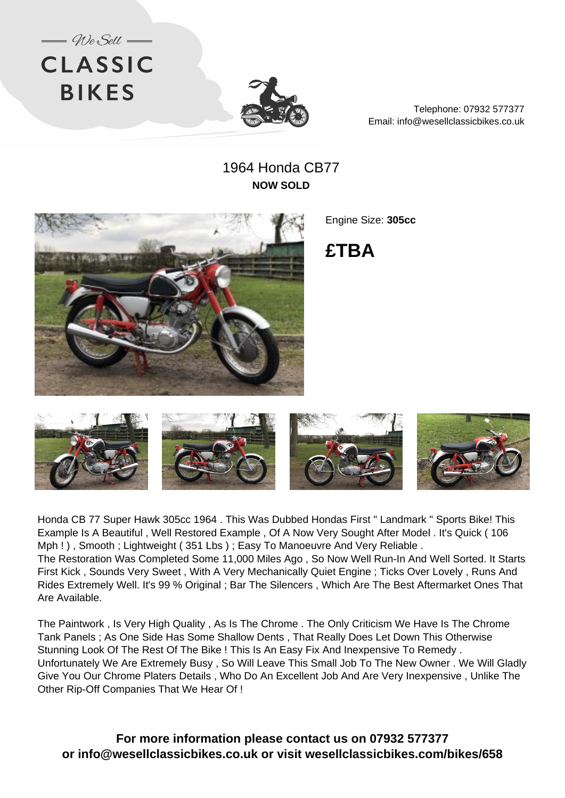



Telephone: 07932 577377 Email: info@wesellclassicbikes.co.uk

## 1964 Honda CB77 **NOW SOLD**



Engine Size: **305cc**

**£TBA**



Honda CB 77 Super Hawk 305cc 1964 . This Was Dubbed Hondas First " Landmark " Sports Bike! This Example Is A Beautiful , Well Restored Example , Of A Now Very Sought After Model . It's Quick ( 106 Mph ! ), Smooth ; Lightweight (351 Lbs ) ; Easy To Manoeuvre And Very Reliable . The Restoration Was Completed Some 11,000 Miles Ago , So Now Well Run-In And Well Sorted. It Starts First Kick , Sounds Very Sweet , With A Very Mechanically Quiet Engine ; Ticks Over Lovely , Runs And Rides Extremely Well. It's 99 % Original ; Bar The Silencers , Which Are The Best Aftermarket Ones That Are Available.

The Paintwork , Is Very High Quality , As Is The Chrome . The Only Criticism We Have Is The Chrome Tank Panels ; As One Side Has Some Shallow Dents , That Really Does Let Down This Otherwise Stunning Look Of The Rest Of The Bike ! This Is An Easy Fix And Inexpensive To Remedy . Unfortunately We Are Extremely Busy , So Will Leave This Small Job To The New Owner . We Will Gladly Give You Our Chrome Platers Details , Who Do An Excellent Job And Are Very Inexpensive , Unlike The Other Rip-Off Companies That We Hear Of !

**For more information please contact us on 07932 577377 or info@wesellclassicbikes.co.uk or visit wesellclassicbikes.com/bikes/658**